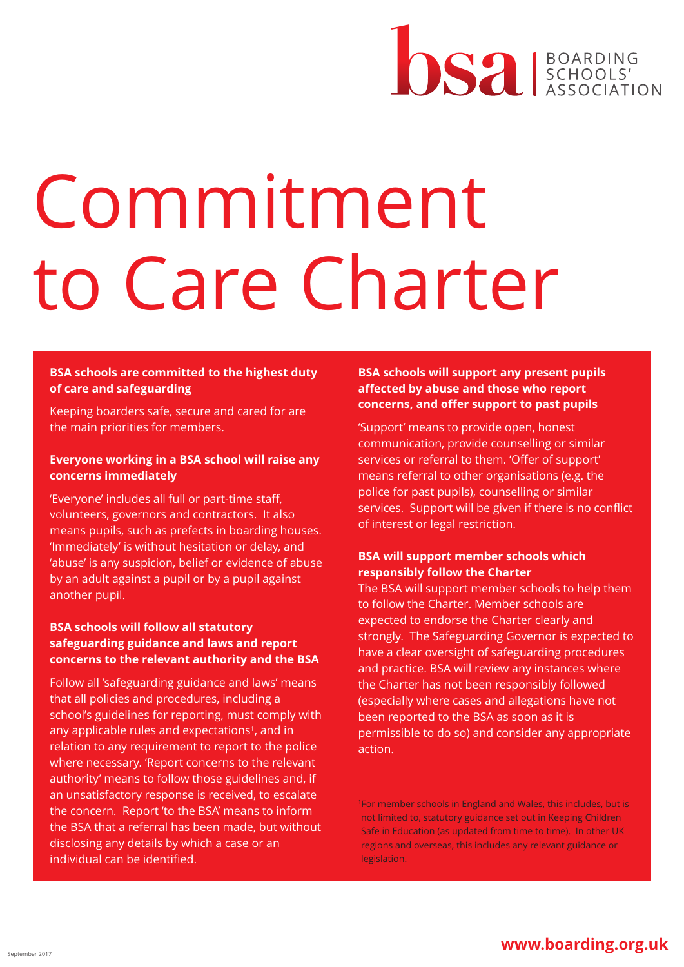# DS2 BOARDING

## Commitment to Care Charter

## **BSA schools are committed to the highest duty of care and safeguarding**

Keeping boarders safe, secure and cared for are the main priorities for members.

## **Everyone working in a BSA school will raise any concerns immediately**

'Everyone' includes all full or part-time staff, volunteers, governors and contractors. It also means pupils, such as prefects in boarding houses. 'Immediately' is without hesitation or delay, and 'abuse' is any suspicion, belief or evidence of abuse by an adult against a pupil or by a pupil against another pupil.

## **BSA schools will follow all statutory safeguarding guidance and laws and report concerns to the relevant authority and the BSA**

Follow all 'safeguarding guidance and laws' means that all policies and procedures, including a school's guidelines for reporting, must comply with any applicable rules and expectations<sup>1</sup>, and in relation to any requirement to report to the police where necessary. 'Report concerns to the relevant authority' means to follow those guidelines and, if an unsatisfactory response is received, to escalate the concern. Report 'to the BSA' means to inform the BSA that a referral has been made, but without disclosing any details by which a case or an individual can be identified.

## **BSA schools will support any present pupils affected by abuse and those who report concerns, and offer support to past pupils**

'Support' means to provide open, honest communication, provide counselling or similar services or referral to them. 'Offer of support' means referral to other organisations (e.g. the police for past pupils), counselling or similar services. Support will be given if there is no conflict of interest or legal restriction.

## **BSA will support member schools which responsibly follow the Charter**

The BSA will support member schools to help them to follow the Charter. Member schools are expected to endorse the Charter clearly and strongly. The Safeguarding Governor is expected to have a clear oversight of safeguarding procedures and practice. BSA will review any instances where the Charter has not been responsibly followed (especially where cases and allegations have not been reported to the BSA as soon as it is permissible to do so) and consider any appropriate action.

1For member schools in England and Wales, this includes, but is not limited to, statutory guidance set out in Keeping Children Safe in Education (as updated from time to time). In other UK regions and overseas, this includes any relevant guidance or legislation.

## <u>September 2017</u> **www.boarding.org.uk**